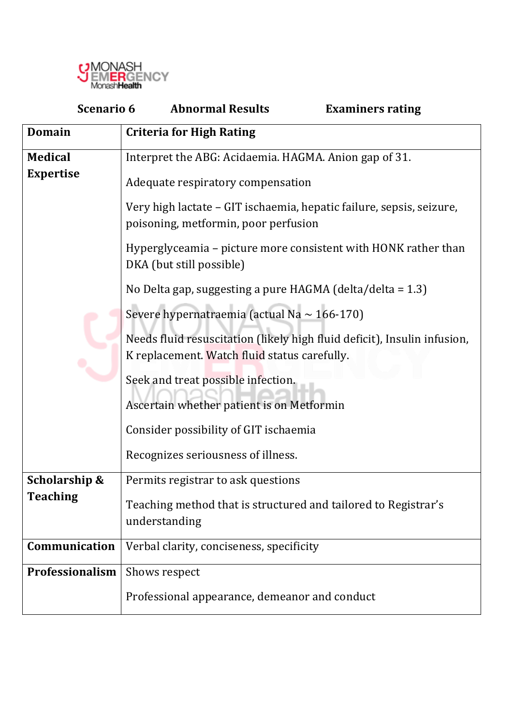

| <b>Scenario 6</b> | <b>Abnormal Results</b><br><b>Examiners rating</b>                                                                       |  |  |  |  |
|-------------------|--------------------------------------------------------------------------------------------------------------------------|--|--|--|--|
| <b>Domain</b>     | <b>Criteria for High Rating</b>                                                                                          |  |  |  |  |
| <b>Medical</b>    | Interpret the ABG: Acidaemia. HAGMA. Anion gap of 31.                                                                    |  |  |  |  |
| <b>Expertise</b>  | Adequate respiratory compensation                                                                                        |  |  |  |  |
|                   | Very high lactate – GIT ischaemia, hepatic failure, sepsis, seizure,<br>poisoning, metformin, poor perfusion             |  |  |  |  |
|                   | Hyperglyceamia – picture more consistent with HONK rather than<br>DKA (but still possible)                               |  |  |  |  |
|                   | No Delta gap, suggesting a pure HAGMA (delta/delta = 1.3)                                                                |  |  |  |  |
|                   | Severe hypernatraemia (actual Na $\sim$ 166-170)                                                                         |  |  |  |  |
|                   | Needs fluid resuscitation (likely high fluid deficit), Insulin infusion,<br>K replacement. Watch fluid status carefully. |  |  |  |  |
|                   | Seek and treat possible infection.                                                                                       |  |  |  |  |
|                   | Ascertain whether patient is on Metformin                                                                                |  |  |  |  |
|                   | Consider possibility of GIT ischaemia                                                                                    |  |  |  |  |
|                   | Recognizes seriousness of illness.                                                                                       |  |  |  |  |
| Scholarship &     | Permits registrar to ask questions                                                                                       |  |  |  |  |
| <b>Teaching</b>   | Teaching method that is structured and tailored to Registrar's<br>understanding                                          |  |  |  |  |
| Communication     | Verbal clarity, conciseness, specificity                                                                                 |  |  |  |  |
| Professionalism   | Shows respect                                                                                                            |  |  |  |  |
|                   | Professional appearance, demeanor and conduct                                                                            |  |  |  |  |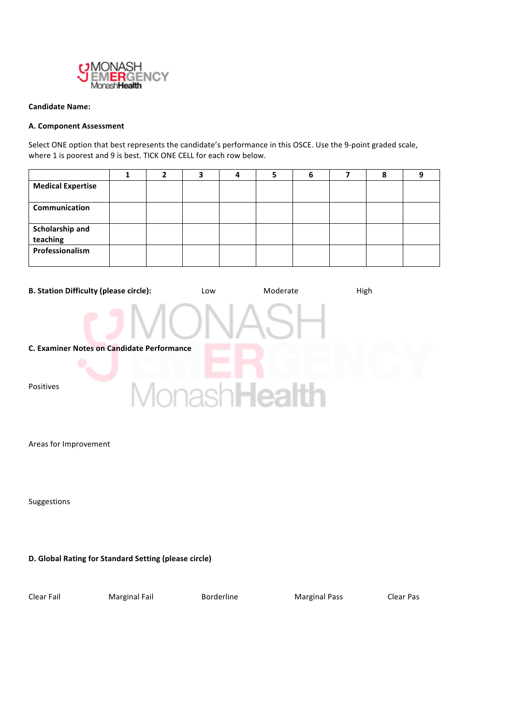

### **Candidate Name:**

### **A. Component Assessment**

Select ONE option that best represents the candidate's performance in this OSCE. Use the 9-point graded scale, where 1 is poorest and 9 is best. TICK ONE CELL for each row below.

| <b>Medical Expertise</b>    |  |  |  |  |  |
|-----------------------------|--|--|--|--|--|
| Communication               |  |  |  |  |  |
| Scholarship and<br>teaching |  |  |  |  |  |
| Professionalism             |  |  |  |  |  |



Areas for Improvement

Suggestions

**D. Global Rating for Standard Setting (please circle)** 

Clear Fail Marginal Fail Borderline Marginal Pass Clear Pas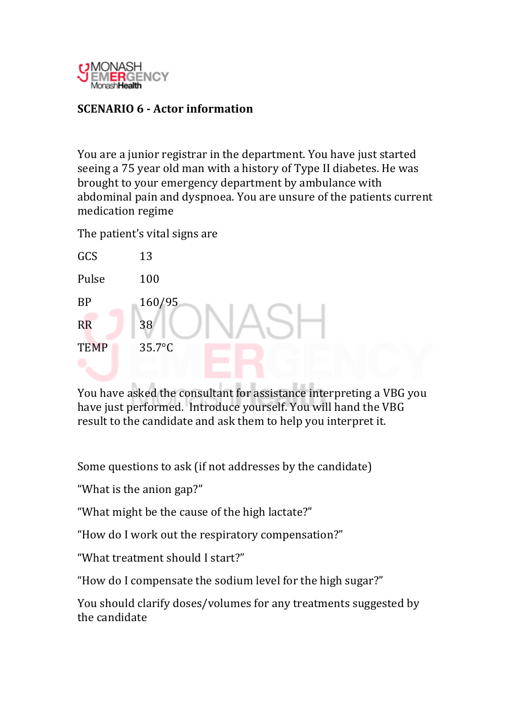

# **SCENARIO 6 - Actor information**

You are a junior registrar in the department. You have just started seeing a 75 year old man with a history of Type II diabetes. He was brought to your emergency department by ambulance with abdominal pain and dyspnoea. You are unsure of the patients current medication regime

The patient's vital signs are

| GCS         | 13     |
|-------------|--------|
| Pulse       | 100    |
| <b>BP</b>   | 160/95 |
| <b>RR</b>   | 38     |
| <b>TEMP</b> | 35.7°C |
|             |        |

You have asked the consultant for assistance interpreting a VBG you have just performed. Introduce yourself. You will hand the VBG result to the candidate and ask them to help you interpret it.

Some questions to ask (if not addresses by the candidate)

"What is the anion gap?"

"What might be the cause of the high lactate?"

"How do I work out the respiratory compensation?"

"What treatment should I start?"

"How do I compensate the sodium level for the high sugar?"

You should clarify doses/volumes for any treatments suggested by the candidate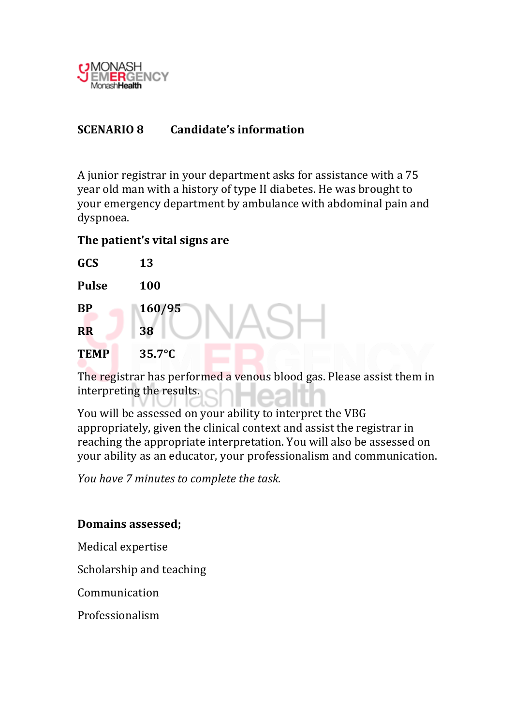

#### **SCENARIO 8** Candidate's information

A junior registrar in your department asks for assistance with a 75 year old man with a history of type II diabetes. He was brought to vour emergency department by ambulance with abdominal pain and dyspnoea.

## The patient's vital signs are

| <b>GCS</b>   | 13               |
|--------------|------------------|
| <b>Pulse</b> | 100              |
| <b>BP</b>    | 160/95           |
| <b>RR</b>    | 38               |
| <b>TEMP</b>  | $35.7^{\circ}$ C |

The registrar has performed a venous blood gas. Please assist them in interpreting the results.

You will be assessed on your ability to interpret the VBG appropriately, given the clinical context and assist the registrar in reaching the appropriate interpretation. You will also be assessed on your ability as an educator, your professionalism and communication.

You have 7 minutes to complete the task.

## **Domains assessed:**

Medical expertise

Scholarship and teaching

Communication

Professionalism